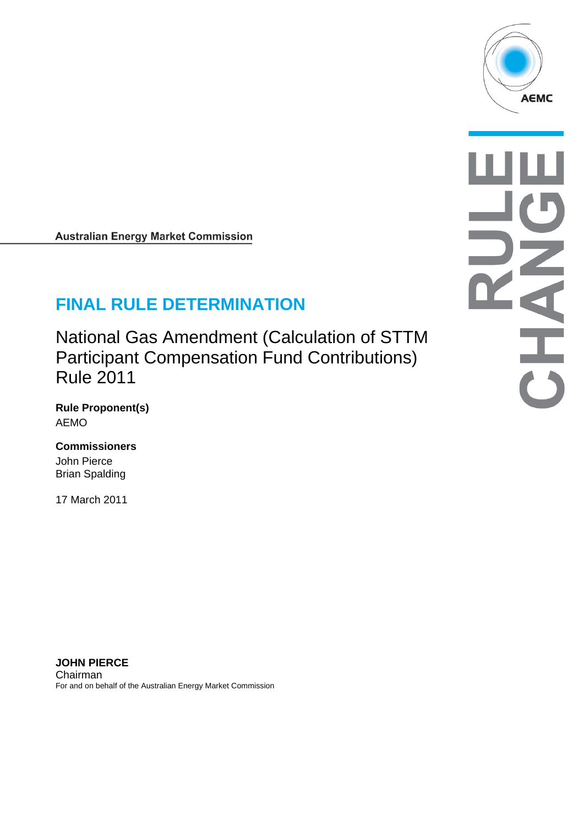

<span id="page-0-0"></span>**Australian Energy Market Commission** 

# **FINAL RULE DETERMINATION**

National Gas Amendment (Calculation of STTM Participant Compensation Fund Contributions) Rule 2011

**Rule Proponent(s)**  AEMO

#### **Commissioners**

John Pierce Brian Spalding

17 March 2011

**JOHN PIERCE**  Chairman For and on behalf of the Australian Energy Market Commission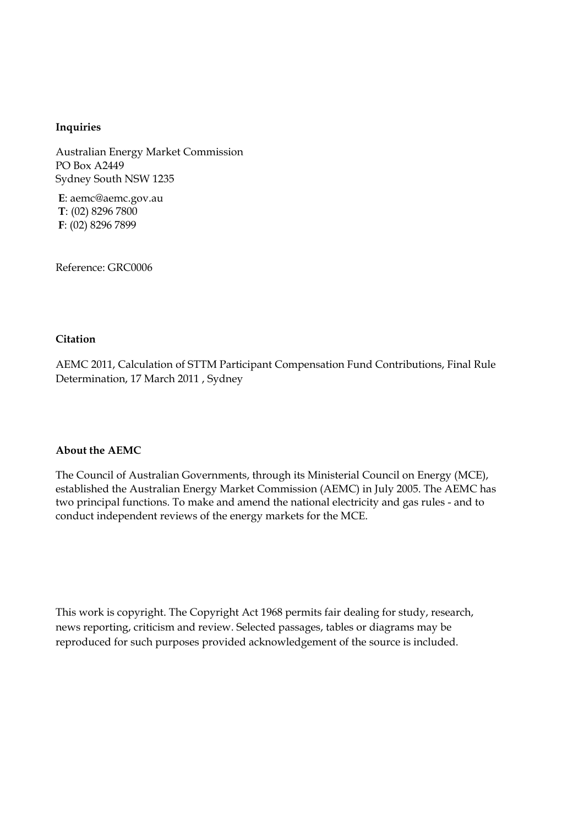#### **Inquiries**

Australian Energy Market Commission PO Box A2449 Sydney South NSW 1235

**E**: aemc@aemc.gov.au **T**T: (02) 8296 7800 **F**: (02) 8296 7899

Reference: GRC0006

#### **Citation**

AEMC 2011, Calculation of STTM Participant Compensation Fund Contributions, Final Rule Determination, 17 March 2011 , Sydney

#### **About the AEMC**

The Council of Australian Governments, through its Ministerial Council on Energy (MCE), established the Australian Energy Market Commission (AEMC) in July 2005. The AEMC has two principal functions. To make and amend the national electricity and gas rules - and to conduct independent reviews of the energy markets for the MCE.

This work is copyright. The Copyright Act 1968 permits fair dealing for study, research, news reporting, criticism and review. Selected passages, tables or diagrams may be reproduced for such purposes provided acknowledgement of the source is included.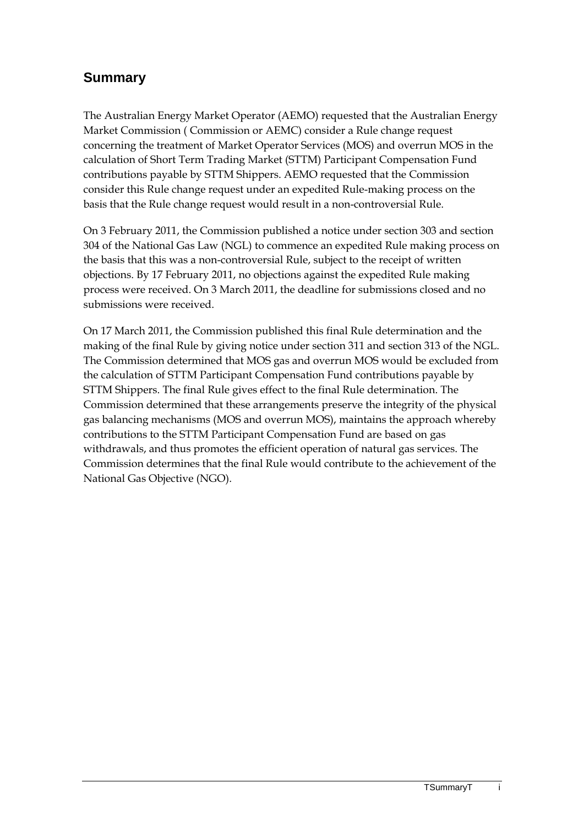## **Summary**

The Australian Energy Market Operator (AEMO) requested that the Australian Energy Market Commission ( Commission or AEMC) consider a Rule change request concerning the treatment of Market Operator Services (MOS) and overrun MOS in the calculation of Short Term Trading Market (STTM) Participant Compensation Fund contributions payable by STTM Shippers. AEMO requested that the Commission consider this Rule change request under an expedited Rule-making process on the basis that the Rule change request would result in a non-controversial Rule.

On 3 February 2011, the Commission published a notice under section 303 and section 304 of the National Gas Law (NGL) to commence an expedited Rule making process on the basis that this was a non-controversial Rule, subject to the receipt of written objections. By 17 February 2011, no objections against the expedited Rule making process were received. On 3 March 2011, the deadline for submissions closed and no submissions were received.

On 17 March 2011, the Commission published this final Rule determination and the making of the final Rule by giving notice under section 311 and section 313 of the NGL. The Commission determined that MOS gas and overrun MOS would be excluded from the calculation of STTM Participant Compensation Fund contributions payable by STTM Shippers. The final Rule gives effect to the final Rule determination. The Commission determined that these arrangements preserve the integrity of the physical gas balancing mechanisms (MOS and overrun MOS), maintains the approach whereby contributions to the STTM Participant Compensation Fund are based on gas withdrawals, and thus promotes the efficient operation of natural gas services. The Commission determines that the final Rule would contribute to the achievement of the National Gas Objective (NGO).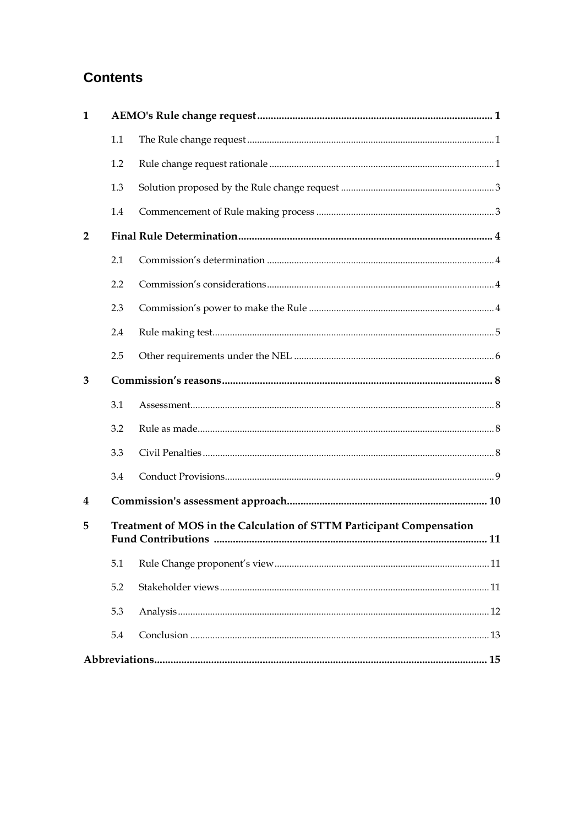## **Contents**

| $\mathbf{1}$   |                                                                      |  |  |
|----------------|----------------------------------------------------------------------|--|--|
|                | 1.1                                                                  |  |  |
|                | 1.2                                                                  |  |  |
|                | 1.3                                                                  |  |  |
|                | 1.4                                                                  |  |  |
| $\overline{2}$ |                                                                      |  |  |
|                | 2.1                                                                  |  |  |
|                | 2.2                                                                  |  |  |
|                | 2.3                                                                  |  |  |
|                | 2.4                                                                  |  |  |
|                | 2.5                                                                  |  |  |
| 3              |                                                                      |  |  |
|                | 3.1                                                                  |  |  |
|                | 3.2                                                                  |  |  |
|                | 3.3                                                                  |  |  |
|                | 3.4                                                                  |  |  |
| 4              |                                                                      |  |  |
| 5              | Treatment of MOS in the Calculation of STTM Participant Compensation |  |  |
|                | 5.1                                                                  |  |  |
|                | 5.2                                                                  |  |  |
|                | 5.3                                                                  |  |  |
|                | 5.4                                                                  |  |  |
|                |                                                                      |  |  |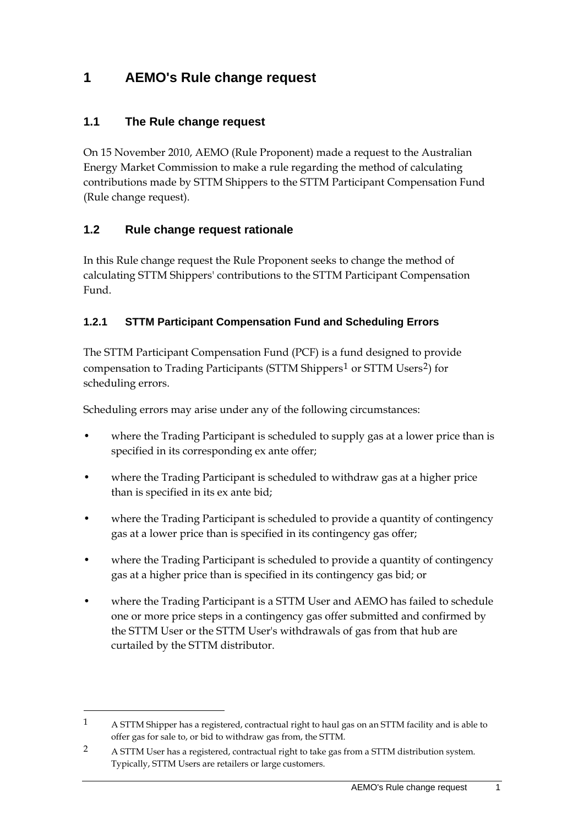## **1 AEMO's Rule change request**

#### **1.1 The Rule change request**

On [15 November 2010,](#page-0-0) AEMO (Rule Proponent) made a request to the Australian Energy Market Commission to make a rule regarding the method of calculating contributions made by STTM Shippers to the STTM Participant Compensation Fund (Rule change request).

#### **1.2 Rule change request rationale**

1

In this Rule change request the Rule Proponent seeks to change the method of calculating STTM Shippers' contributions to the STTM Participant Compensation Fund.

#### **1.2.1 STTM Participant Compensation Fund and Scheduling Errors**

The STTM Participant Compensation Fund (PCF) is a fund designed to provide compensation to Trading Participants (STTM Shippers<sup>[1](#page-4-0)</sup> or STTM Users<sup>[2](#page-4-1)</sup>) for scheduling errors.

Scheduling errors may arise under any of the following circumstances:

- where the Trading Participant is scheduled to supply gas at a lower price than is specified in its corresponding ex ante offer;
- where the Trading Participant is scheduled to withdraw gas at a higher price than is specified in its ex ante bid;
- where the Trading Participant is scheduled to provide a quantity of contingency gas at a lower price than is specified in its contingency gas offer;
- where the Trading Participant is scheduled to provide a quantity of contingency gas at a higher price than is specified in its contingency gas bid; or
- where the Trading Participant is a STTM User and AEMO has failed to schedule one or more price steps in a contingency gas offer submitted and confirmed by the STTM User or the STTM User's withdrawals of gas from that hub are curtailed by the STTM distributor.

<span id="page-4-0"></span><sup>1</sup> A STTM Shipper has a registered, contractual right to haul gas on an STTM facility and is able to offer gas for sale to, or bid to withdraw gas from, the STTM.

<span id="page-4-1"></span><sup>2</sup> A STTM User has a registered, contractual right to take gas from a STTM distribution system. Typically, STTM Users are retailers or large customers.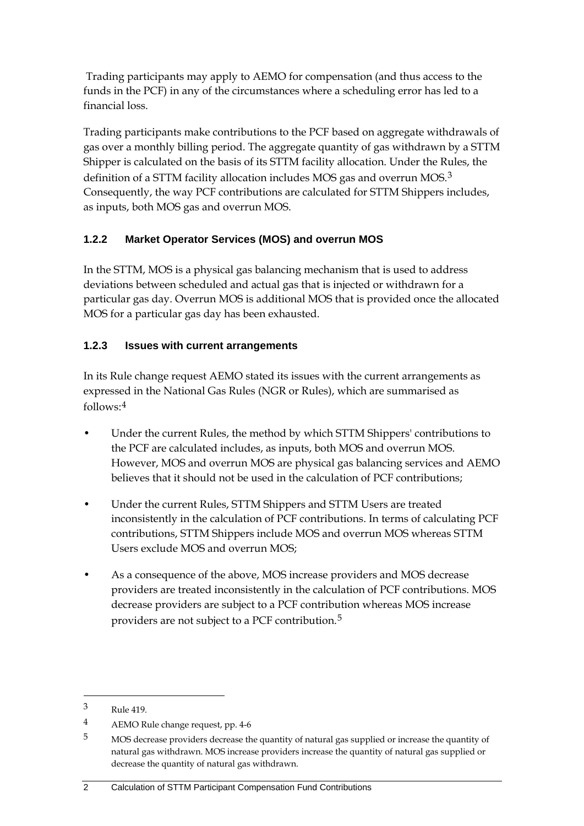Trading participants may apply to AEMO for compensation (and thus access to the funds in the PCF) in any of the circumstances where a scheduling error has led to a financial loss.

Trading participants make contributions to the PCF based on aggregate withdrawals of gas over a monthly billing period. The aggregate quantity of gas withdrawn by a STTM Shipper is calculated on the basis of its STTM facility allocation. Under the Rules, the definition of a STTM facility allocation includes MOS gas and overrun MOS.<sup>[3](#page-5-0)</sup> Consequently, the way PCF contributions are calculated for STTM Shippers includes, as inputs, both MOS gas and overrun MOS.

### **1.2.2 Market Operator Services (MOS) and overrun MOS**

In the STTM, MOS is a physical gas balancing mechanism that is used to address deviations between scheduled and actual gas that is injected or withdrawn for a particular gas day. Overrun MOS is additional MOS that is provided once the allocated MOS for a particular gas day has been exhausted.

### **1.2.3 Issues with current arrangements**

In its Rule change request AEMO stated its issues with the current arrangements as expressed in the National Gas Rules (NGR or Rules), which are summarised as follows:[4](#page-5-1)

- Under the current Rules, the method by which STTM Shippers' contributions to the PCF are calculated includes, as inputs, both MOS and overrun MOS. However, MOS and overrun MOS are physical gas balancing services and AEMO believes that it should not be used in the calculation of PCF contributions;
- Under the current Rules, STTM Shippers and STTM Users are treated inconsistently in the calculation of PCF contributions. In terms of calculating PCF contributions, STTM Shippers include MOS and overrun MOS whereas STTM Users exclude MOS and overrun MOS;
- As a consequence of the above, MOS increase providers and MOS decrease providers are treated inconsistently in the calculation of PCF contributions. MOS decrease providers are subject to a PCF contribution whereas MOS increase providers are not subject to a PCF contribution.[5](#page-5-2)

1

<span id="page-5-0"></span><sup>3</sup> Rule 419.

<span id="page-5-1"></span><sup>4</sup> AEMO Rule change request, pp. 4-6

<span id="page-5-2"></span><sup>5</sup> MOS decrease providers decrease the quantity of natural gas supplied or increase the quantity of natural gas withdrawn. MOS increase providers increase the quantity of natural gas supplied or decrease the quantity of natural gas withdrawn.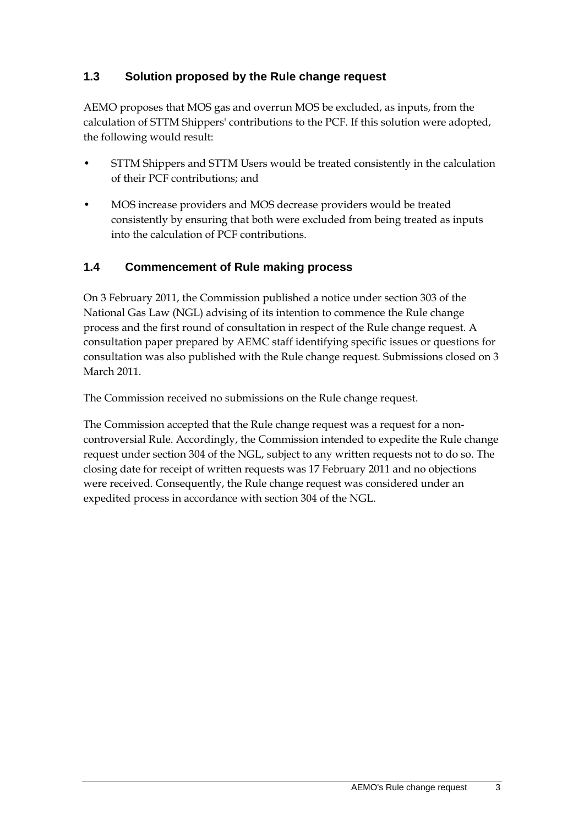### **1.3 Solution proposed by the Rule change request**

AEMO proposes that MOS gas and overrun MOS be excluded, as inputs, from the calculation of STTM Shippers' contributions to the PCF. If this solution were adopted, the following would result:

- STTM Shippers and STTM Users would be treated consistently in the calculation of their PCF contributions; and
- MOS increase providers and MOS decrease providers would be treated consistently by ensuring that both were excluded from being treated as inputs into the calculation of PCF contributions.

#### **1.4 Commencement of Rule making process**

On [3 February 2011](#page-0-0), the Commission published a notice under section 303 of the National Gas Law (NGL) advising of its intention to commence the Rule change process and the first round of consultation in respect of the Rule change request. A consultation paper prepared by AEMC staff identifying specific issues or questions for consultation was also published with the Rule change request. Submissions closed on 3 March 2011.

The Commission received no submissions on the Rule change request.

The Commission accepted that the Rule change request was a request for a noncontroversial Rule. Accordingly, the Commission intended to expedite the Rule change request under section 304 of the NGL, subject to any written requests not to do so. The closing date for receipt of written requests was [17 February 2011](#page-0-0) and no objections were received. Consequently, the Rule change request was considered under an expedited process in accordance with section 304 of the NGL.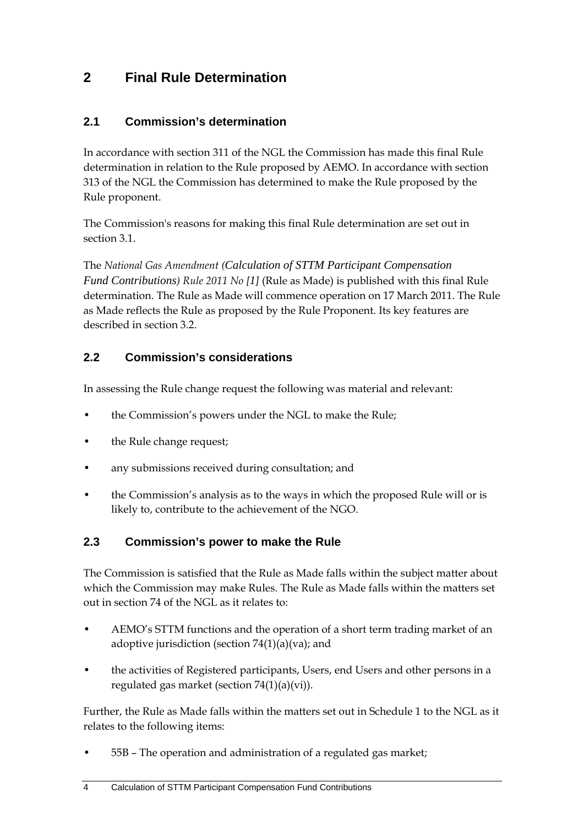## <span id="page-7-0"></span>**2 Final Rule Determination**

### **2.1 Commission's determination**

In accordance with section 311 of the NGL the Commission has made this final Rule determination in relation to the Rule proposed by AEMO. In accordance with section 313 of the NGL the Commission has determined to make the Rule proposed by the Rule proponent.

The Commission's reasons for making this final Rule determination are set out in section [3.1.](#page-11-0)

The *National Gas Amendment (Calc[ulation of STTM Participant Compensation](#page-0-0)  [Fund Contributions](#page-0-0)) Rule 2011 No [[1](#page-0-0)]* (Rule as Made) is published with this final Rule determination. The Rule as Made will commence operation on 17 March 2011. The Rule as Made reflects the Rule as proposed by the Rule Proponent. Its key features are described in section [3.2.](#page-11-0)

### **2.2 Commission's considerations**

In assessing the Rule change request the following was material and relevant:

- the Commission's powers under the NGL to make the Rule;
- the Rule change request;
- any submissions received during consultation; and
- the Commission's analysis as to the ways in which the proposed Rule will or is likely to, contribute to the achievement of the NGO.

### **2.3 Commission's power to make the Rule**

The Commission is satisfied that the Rule as Made falls within the subject matter about which the Commission may make Rules. The Rule as Made falls within the matters set out in section 74 of the NGL as it relates to:

- AEMO's STTM functions and the operation of a short term trading market of an adoptive jurisdiction (section  $74(1)(a)(va)$ ; and
- the activities of Registered participants, Users, end Users and other persons in a regulated gas market (section 74(1)(a)(vi)).

Further, the Rule as Made falls within the matters set out in Schedule 1 to the NGL as it relates to the following items:

• 55B – The operation and administration of a regulated gas market;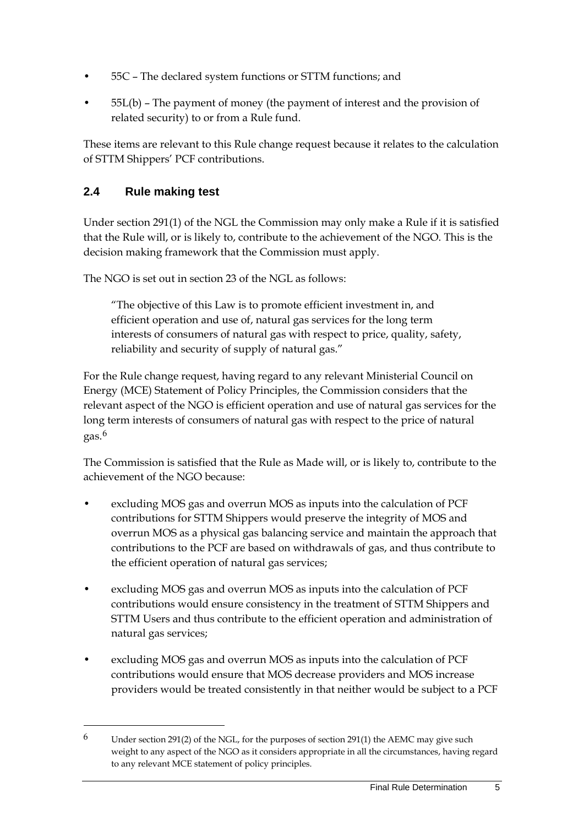- 55C The declared system functions or STTM functions; and
- 55L(b) The payment of money (the payment of interest and the provision of related security) to or from a Rule fund.

These items are relevant to this Rule change request because it relates to the calculation of STTM Shippers' PCF contributions.

### **2.4 Rule making test**

<u>.</u>

Under section 291(1) of the NGL the Commission may only make a Rule if it is satisfied that the Rule will, or is likely to, contribute to the achievement of the NGO. This is the decision making framework that the Commission must apply.

The NGO is set out in section 23 of the NGL as follows:

"The objective of this Law is to promote efficient investment in, and efficient operation and use of, natural gas services for the long term interests of consumers of natural gas with respect to price, quality, safety, reliability and security of supply of natural gas."

For the Rule change request, having regard to any relevant Ministerial Council on Energy (MCE) Statement of Policy Principles, the Commission considers that the relevant aspect of the NGO is efficient operation and use of natural gas services for the long term interests of consumers of natural gas with respect to the price of natural gas.[6](#page-8-0)

The Commission is satisfied that the Rule as Made will, or is likely to, contribute to the achievement of the NGO because:

- excluding MOS gas and overrun MOS as inputs into the calculation of PCF contributions for STTM Shippers would preserve the integrity of MOS and overrun MOS as a physical gas balancing service and maintain the approach that contributions to the PCF are based on withdrawals of gas, and thus contribute to the efficient operation of natural gas services;
- excluding MOS gas and overrun MOS as inputs into the calculation of PCF contributions would ensure consistency in the treatment of STTM Shippers and STTM Users and thus contribute to the efficient operation and administration of natural gas services;
- excluding MOS gas and overrun MOS as inputs into the calculation of PCF contributions would ensure that MOS decrease providers and MOS increase providers would be treated consistently in that neither would be subject to a PCF

<span id="page-8-0"></span> $6$  Under section 291(2) of the NGL, for the purposes of section 291(1) the AEMC may give such weight to any aspect of the NGO as it considers appropriate in all the circumstances, having regard to any relevant MCE statement of policy principles.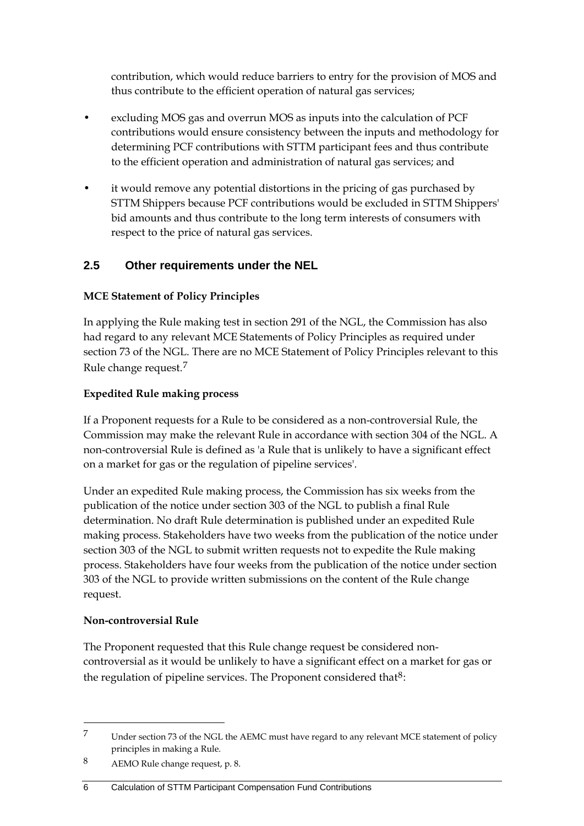contribution, which would reduce barriers to entry for the provision of MOS and thus contribute to the efficient operation of natural gas services;

- excluding MOS gas and overrun MOS as inputs into the calculation of PCF contributions would ensure consistency between the inputs and methodology for determining PCF contributions with STTM participant fees and thus contribute to the efficient operation and administration of natural gas services; and
- it would remove any potential distortions in the pricing of gas purchased by STTM Shippers because PCF contributions would be excluded in STTM Shippers' bid amounts and thus contribute to the long term interests of consumers with respect to the price of natural gas services.

### **2.5 Other requirements under the NEL**

#### **MCE Statement of Policy Principles**

In applying the Rule making test in section 291 of the NGL, the Commission has also had regard to any relevant MCE Statements of Policy Principles as required under section 73 of the NGL. There are no MCE Statement of Policy Principles relevant to this Rule change request.[7](#page-9-0)

#### **Expedited Rule making process**

If a Proponent requests for a Rule to be considered as a non-controversial Rule, the Commission may make the relevant Rule in accordance with section 304 of the NGL. A non-controversial Rule is defined as 'a Rule that is unlikely to have a significant effect on a market for gas or the regulation of pipeline services'.

Under an expedited Rule making process, the Commission has six weeks from the publication of the notice under section 303 of the NGL to publish a final Rule determination. No draft Rule determination is published under an expedited Rule making process. Stakeholders have two weeks from the publication of the notice under section 303 of the NGL to submit written requests not to expedite the Rule making process. Stakeholders have four weeks from the publication of the notice under section 303 of the NGL to provide written submissions on the content of the Rule change request.

#### **Non-controversial Rule**

<u>.</u>

The Proponent requested that this Rule change request be considered noncontroversial as it would be unlikely to have a significant effect on a market for gas or the regulation of pipeline services. The Proponent considered that  $8$ :

<span id="page-9-0"></span><sup>7</sup> Under section 73 of the NGL the AEMC must have regard to any relevant MCE statement of policy principles in making a Rule.

<span id="page-9-1"></span><sup>8</sup> AEMO Rule change request, p. 8.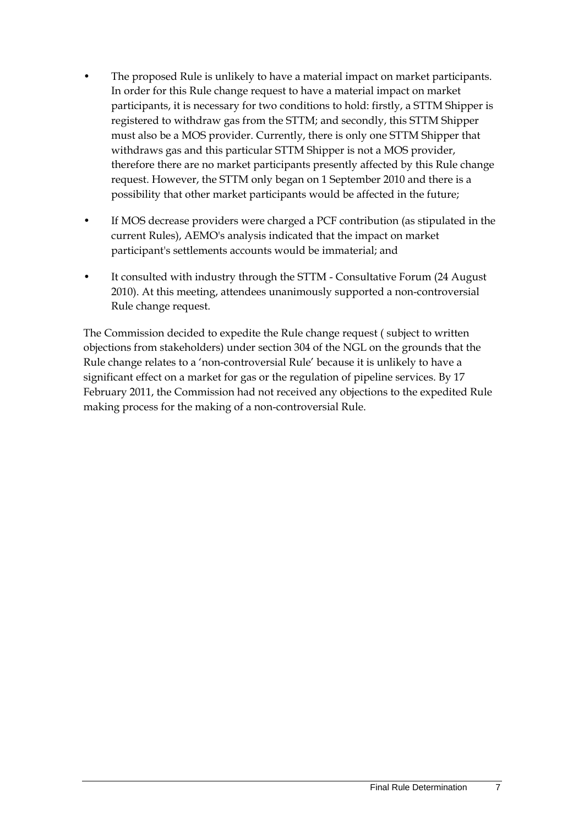- The proposed Rule is unlikely to have a material impact on market participants. In order for this Rule change request to have a material impact on market participants, it is necessary for two conditions to hold: firstly, a STTM Shipper is registered to withdraw gas from the STTM; and secondly, this STTM Shipper must also be a MOS provider. Currently, there is only one STTM Shipper that withdraws gas and this particular STTM Shipper is not a MOS provider, therefore there are no market participants presently affected by this Rule change request. However, the STTM only began on 1 September 2010 and there is a possibility that other market participants would be affected in the future;
- If MOS decrease providers were charged a PCF contribution (as stipulated in the current Rules), AEMO's analysis indicated that the impact on market participant's settlements accounts would be immaterial; and
- It consulted with industry through the STTM Consultative Forum (24 August 2010). At this meeting, attendees unanimously supported a non-controversial Rule change request.

The Commission decided to expedite the Rule change request ( subject to written objections from stakeholders) under section 304 of the NGL on the grounds that the Rule change relates to a 'non-controversial Rule' because it is unlikely to have a significant effect on a market for gas or the regulation of pipeline services. By 17 February 2011, the Commission had not received any objections to the expedited Rule making process for the making of a non-controversial Rule.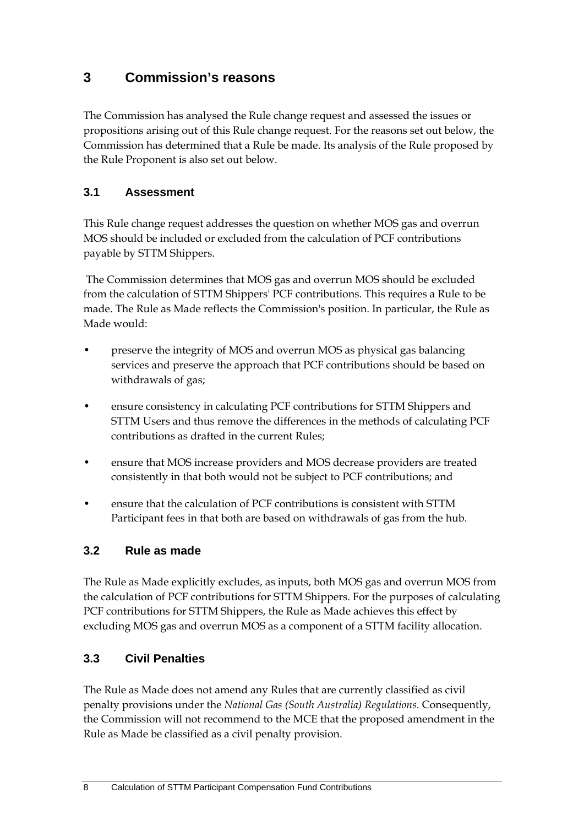## <span id="page-11-0"></span>**3 Commission's reasons**

The Commission has analysed the Rule change request and assessed the issues or propositions arising out of this Rule change request. For the reasons set out below, the Commission has determined that a Rule be made. Its analysis of the Rule proposed by the Rule Proponent is also set out below.

### **3.1 Assessment**

This Rule change request addresses the question on whether MOS gas and overrun MOS should be included or excluded from the calculation of PCF contributions payable by STTM Shippers.

 The Commission determines that MOS gas and overrun MOS should be excluded from the calculation of STTM Shippers' PCF contributions. This requires a Rule to be made. The Rule as Made reflects the Commission's position. In particular, the Rule as Made would:

- preserve the integrity of MOS and overrun MOS as physical gas balancing services and preserve the approach that PCF contributions should be based on withdrawals of gas;
- ensure consistency in calculating PCF contributions for STTM Shippers and STTM Users and thus remove the differences in the methods of calculating PCF contributions as drafted in the current Rules;
- ensure that MOS increase providers and MOS decrease providers are treated consistently in that both would not be subject to PCF contributions; and
- ensure that the calculation of PCF contributions is consistent with STTM Participant fees in that both are based on withdrawals of gas from the hub.

### **3.2 Rule as made**

The Rule as Made explicitly excludes, as inputs, both MOS gas and overrun MOS from the calculation of PCF contributions for STTM Shippers. For the purposes of calculating PCF contributions for STTM Shippers, the Rule as Made achieves this effect by excluding MOS gas and overrun MOS as a component of a STTM facility allocation.

### **3.3 Civil Penalties**

The Rule as Made does not amend any Rules that are currently classified as civil penalty provisions under the *National Gas (South Australia) Regulations*. Consequently, the Commission will not recommend to the MCE that the proposed amendment in the Rule as Made be classified as a civil penalty provision.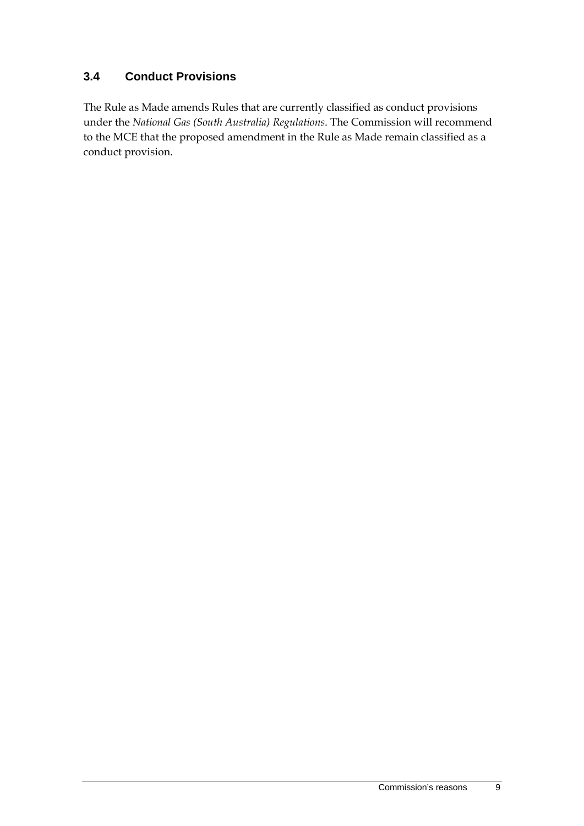### **3.4 Conduct Provisions**

The Rule as Made amends Rules that are currently classified as conduct provisions under the *National Gas (South Australia) Regulations*. The Commission will recommend to the MCE that the proposed amendment in the Rule as Made remain classified as a conduct provision.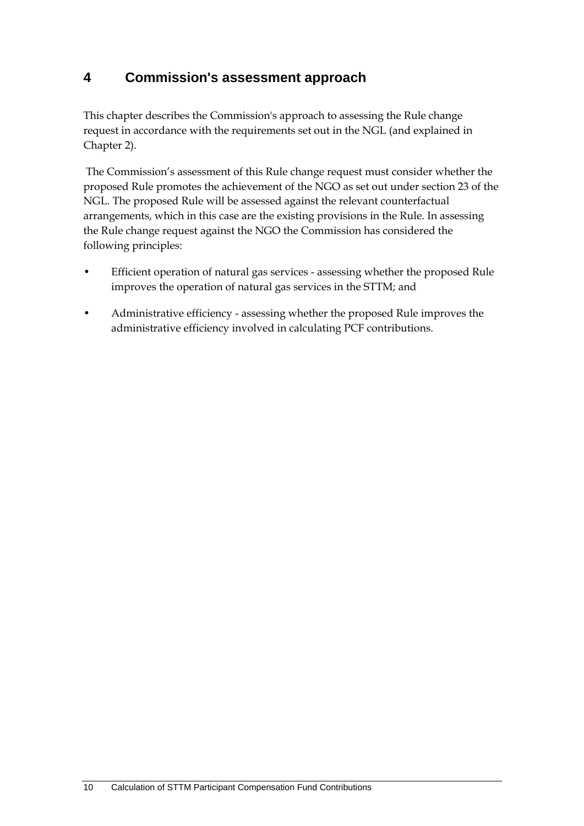## **4 Commission's assessment approach**

This chapter describes the Commission's approach to assessing the Rule change request in accordance with the requirements set out in the NGL (and explained in Chapter [2\)](#page-7-0).

 The Commission's assessment of this Rule change request must consider whether the proposed Rule promotes the achievement of the NGO as set out under section 23 of the NGL. The proposed Rule will be assessed against the relevant counterfactual arrangements, which in this case are the existing provisions in the Rule. In assessing the Rule change request against the NGO the Commission has considered the following principles:

- Efficient operation of natural gas services assessing whether the proposed Rule improves the operation of natural gas services in the STTM; and
- Administrative efficiency assessing whether the proposed Rule improves the administrative efficiency involved in calculating PCF contributions.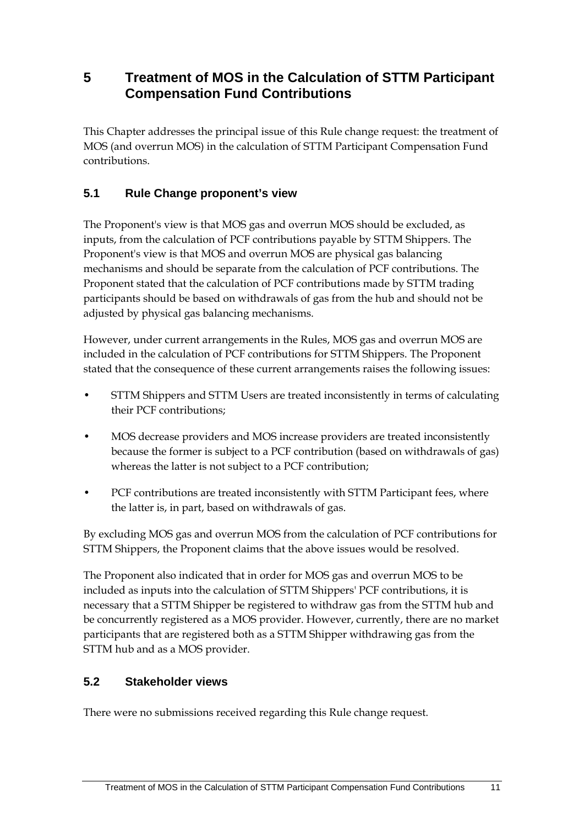### **5 Treatment of MOS in the Calculation of STTM Participant Compensation Fund Contributions**

This Chapter addresses the principal issue of this Rule change request: the treatment of MOS (and overrun MOS) in the calculation of STTM Participant Compensation Fund contributions.

### **5.1 Rule Change proponent's view**

The Proponent's view is that MOS gas and overrun MOS should be excluded, as inputs, from the calculation of PCF contributions payable by STTM Shippers. The Proponent's view is that MOS and overrun MOS are physical gas balancing mechanisms and should be separate from the calculation of PCF contributions. The Proponent stated that the calculation of PCF contributions made by STTM trading participants should be based on withdrawals of gas from the hub and should not be adjusted by physical gas balancing mechanisms.

However, under current arrangements in the Rules, MOS gas and overrun MOS are included in the calculation of PCF contributions for STTM Shippers. The Proponent stated that the consequence of these current arrangements raises the following issues:

- STTM Shippers and STTM Users are treated inconsistently in terms of calculating their PCF contributions;
- MOS decrease providers and MOS increase providers are treated inconsistently because the former is subject to a PCF contribution (based on withdrawals of gas) whereas the latter is not subject to a PCF contribution;
- PCF contributions are treated inconsistently with STTM Participant fees, where the latter is, in part, based on withdrawals of gas.

By excluding MOS gas and overrun MOS from the calculation of PCF contributions for STTM Shippers, the Proponent claims that the above issues would be resolved.

The Proponent also indicated that in order for MOS gas and overrun MOS to be included as inputs into the calculation of STTM Shippers' PCF contributions, it is necessary that a STTM Shipper be registered to withdraw gas from the STTM hub and be concurrently registered as a MOS provider. However, currently, there are no market participants that are registered both as a STTM Shipper withdrawing gas from the STTM hub and as a MOS provider.

### **5.2 Stakeholder views**

There were no submissions received regarding this Rule change request.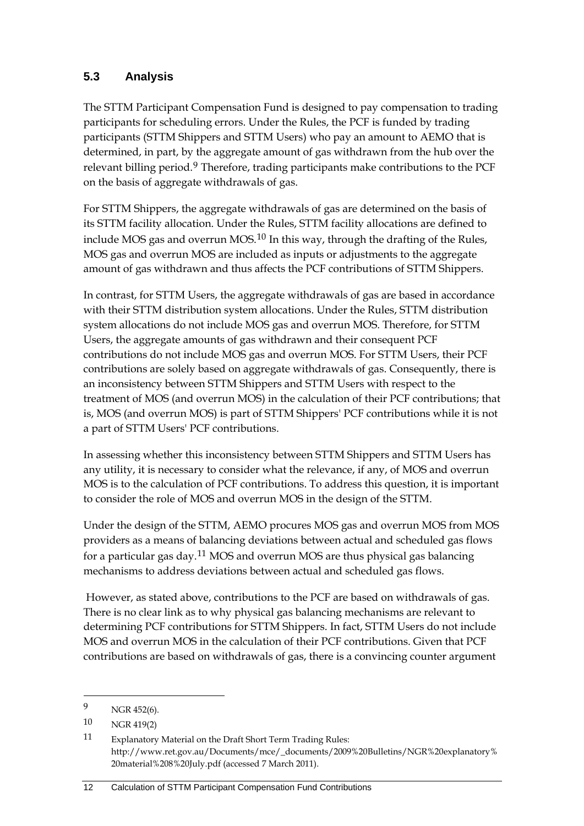### **5.3 Analysis**

The STTM Participant Compensation Fund is designed to pay compensation to trading participants for scheduling errors. Under the Rules, the PCF is funded by trading participants (STTM Shippers and STTM Users) who pay an amount to AEMO that is determined, in part, by the aggregate amount of gas withdrawn from the hub over the relevant billing period.<sup>[9](#page-15-0)</sup> Therefore, trading participants make contributions to the PCF on the basis of aggregate withdrawals of gas.

For STTM Shippers, the aggregate withdrawals of gas are determined on the basis of its STTM facility allocation. Under the Rules, STTM facility allocations are defined to include MOS gas and overrun MOS.[10](#page-15-1) In this way, through the drafting of the Rules, MOS gas and overrun MOS are included as inputs or adjustments to the aggregate amount of gas withdrawn and thus affects the PCF contributions of STTM Shippers.

In contrast, for STTM Users, the aggregate withdrawals of gas are based in accordance with their STTM distribution system allocations. Under the Rules, STTM distribution system allocations do not include MOS gas and overrun MOS. Therefore, for STTM Users, the aggregate amounts of gas withdrawn and their consequent PCF contributions do not include MOS gas and overrun MOS. For STTM Users, their PCF contributions are solely based on aggregate withdrawals of gas. Consequently, there is an inconsistency between STTM Shippers and STTM Users with respect to the treatment of MOS (and overrun MOS) in the calculation of their PCF contributions; that is, MOS (and overrun MOS) is part of STTM Shippers' PCF contributions while it is not a part of STTM Users' PCF contributions.

In assessing whether this inconsistency between STTM Shippers and STTM Users has any utility, it is necessary to consider what the relevance, if any, of MOS and overrun MOS is to the calculation of PCF contributions. To address this question, it is important to consider the role of MOS and overrun MOS in the design of the STTM.

Under the design of the STTM, AEMO procures MOS gas and overrun MOS from MOS providers as a means of balancing deviations between actual and scheduled gas flows for a particular gas day.[11](#page-15-2) MOS and overrun MOS are thus physical gas balancing mechanisms to address deviations between actual and scheduled gas flows.

 However, as stated above, contributions to the PCF are based on withdrawals of gas. There is no clear link as to why physical gas balancing mechanisms are relevant to determining PCF contributions for STTM Shippers. In fact, STTM Users do not include MOS and overrun MOS in the calculation of their PCF contributions. Given that PCF contributions are based on withdrawals of gas, there is a convincing counter argument

1

<span id="page-15-0"></span><sup>9</sup> NGR 452(6).

<span id="page-15-1"></span><sup>10</sup> NGR 419(2)

<span id="page-15-2"></span><sup>11</sup> Explanatory Material on the Draft Short Term Trading Rules: http://www.ret.gov.au/Documents/mce/\_documents/2009%20Bulletins/NGR%20explanatory% 20material%208%20July.pdf (accessed 7 March 2011).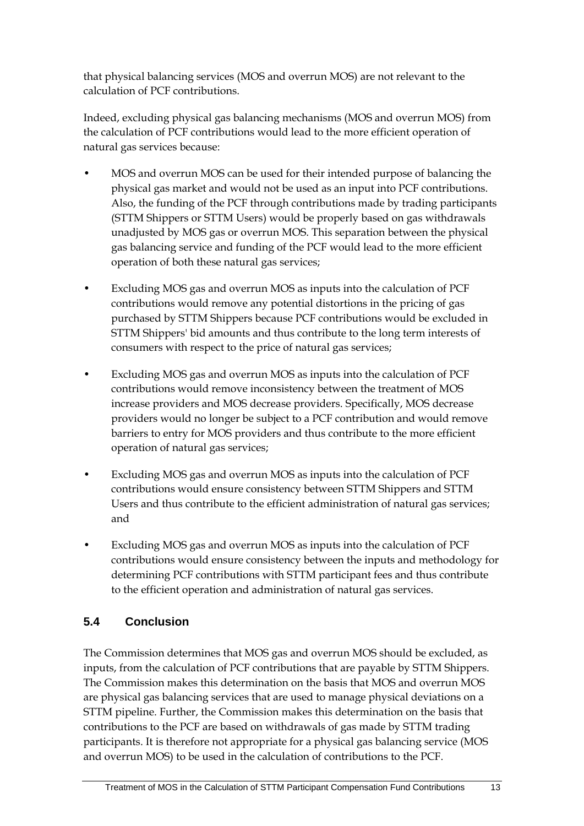that physical balancing services (MOS and overrun MOS) are not relevant to the calculation of PCF contributions.

Indeed, excluding physical gas balancing mechanisms (MOS and overrun MOS) from the calculation of PCF contributions would lead to the more efficient operation of natural gas services because:

- MOS and overrun MOS can be used for their intended purpose of balancing the physical gas market and would not be used as an input into PCF contributions. Also, the funding of the PCF through contributions made by trading participants (STTM Shippers or STTM Users) would be properly based on gas withdrawals unadjusted by MOS gas or overrun MOS. This separation between the physical gas balancing service and funding of the PCF would lead to the more efficient operation of both these natural gas services;
- Excluding MOS gas and overrun MOS as inputs into the calculation of PCF contributions would remove any potential distortions in the pricing of gas purchased by STTM Shippers because PCF contributions would be excluded in STTM Shippers' bid amounts and thus contribute to the long term interests of consumers with respect to the price of natural gas services;
- Excluding MOS gas and overrun MOS as inputs into the calculation of PCF contributions would remove inconsistency between the treatment of MOS increase providers and MOS decrease providers. Specifically, MOS decrease providers would no longer be subject to a PCF contribution and would remove barriers to entry for MOS providers and thus contribute to the more efficient operation of natural gas services;
- Excluding MOS gas and overrun MOS as inputs into the calculation of PCF contributions would ensure consistency between STTM Shippers and STTM Users and thus contribute to the efficient administration of natural gas services; and
- Excluding MOS gas and overrun MOS as inputs into the calculation of PCF contributions would ensure consistency between the inputs and methodology for determining PCF contributions with STTM participant fees and thus contribute to the efficient operation and administration of natural gas services.

### **5.4 Conclusion**

The Commission determines that MOS gas and overrun MOS should be excluded, as inputs, from the calculation of PCF contributions that are payable by STTM Shippers. The Commission makes this determination on the basis that MOS and overrun MOS are physical gas balancing services that are used to manage physical deviations on a STTM pipeline. Further, the Commission makes this determination on the basis that contributions to the PCF are based on withdrawals of gas made by STTM trading participants. It is therefore not appropriate for a physical gas balancing service (MOS and overrun MOS) to be used in the calculation of contributions to the PCF.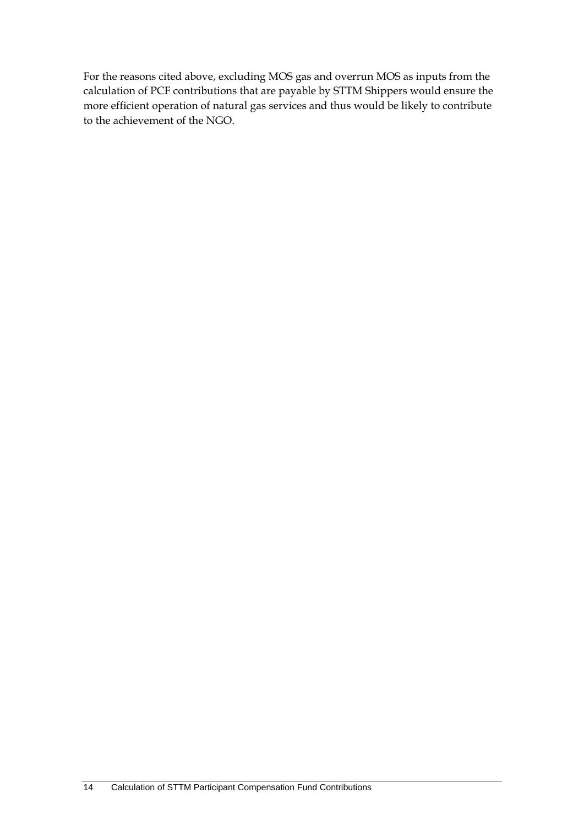For the reasons cited above, excluding MOS gas and overrun MOS as inputs from the calculation of PCF contributions that are payable by STTM Shippers would ensure the more efficient operation of natural gas services and thus would be likely to contribute to the achievement of the NGO.